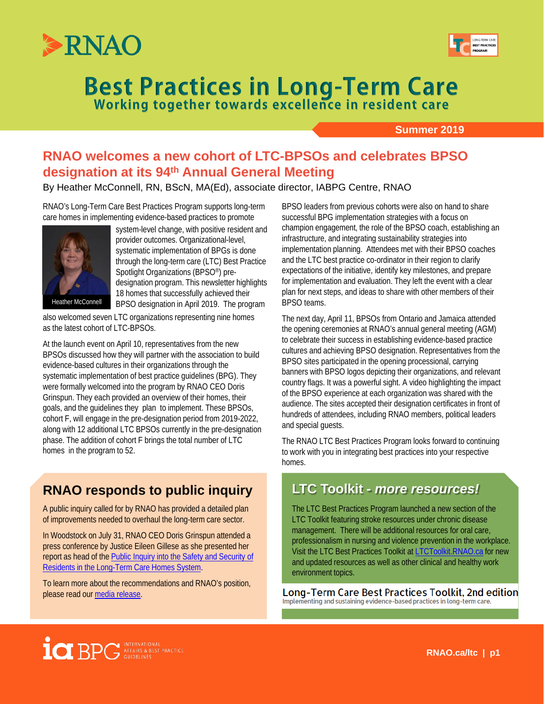



# **Best Practices in Long-Term Care Working together towards excellence in resident care**

**Summer 2019**

# **RNAO welcomes a new cohort of LTC-BPSOs and celebrates BPSO designation at its 94th Annual General Meeting**

By Heather McConnell, RN, BScN, MA(Ed), associate director, IABPG Centre, RNAO

RNAO's Long-Term Care Best Practices Program supports long-term care homes in implementing evidence-based practices to promote



system-level change, with positive resident and provider outcomes. Organizational-level, systematic implementation of BPGs is done through the long-term care (LTC) Best Practice Spotlight Organizations (BPSO<sup>®</sup>) predesignation program. This newsletter highlights 18 homes that successfully achieved their BPSO designation in April 2019. The program

also welcomed seven LTC organizations representing nine homes as the latest cohort of LTC-BPSOs.

At the launch event on April 10, representatives from the new BPSOs discussed how they will partner with the association to build evidence-based cultures in their organizations through the systematic implementation of best practice guidelines (BPG). They were formally welcomed into the program by RNAO CEO Doris Grinspun. They each provided an overview of their homes, their goals, and the guidelines they plan to implement. These BPSOs, cohort F, will engage in the pre-designation period from 2019-2022, along with 12 additional LTC BPSOs currently in the pre-designation phase. The addition of cohort F brings the total number of LTC homes in the program to 52.

# **RNAO responds to public inquiry**

A public inquiry called for by RNAO has provided a detailed plan of improvements needed to overhaul the long-term care sector.

In Woodstock on July 31, RNAO CEO Doris Grinspun attended a press conference by Justice Eileen Gillese as she presented her report as head of the [Public Inquiry into the Safety and Security of](https://longtermcareinquiry.ca/en/final-report/)  [Residents in the Long-Term Care Homes System](https://longtermcareinquiry.ca/en/final-report/).

To learn more about the recommendations and RNAO's position, please read our [media release](https://rnao.ca/news/media-releases/2019/07/31/public-inquiry-called-rnao-delivers-recommendations-can-improve-safet).

BPSO leaders from previous cohorts were also on hand to share successful BPG implementation strategies with a focus on champion engagement, the role of the BPSO coach, establishing an infrastructure, and integrating sustainability strategies into implementation planning. Attendees met with their BPSO coaches and the LTC best practice co-ordinator in their region to clarify expectations of the initiative, identify key milestones, and prepare for implementation and evaluation. They left the event with a clear plan for next steps, and ideas to share with other members of their BPSO teams.

The next day, April 11, BPSOs from Ontario and Jamaica attended the opening ceremonies at RNAO's annual general meeting (AGM) to celebrate their success in establishing evidence-based practice cultures and achieving BPSO designation. Representatives from the BPSO sites participated in the opening processional, carrying banners with BPSO logos depicting their organizations, and relevant country flags. It was a powerful sight. A video highlighting the impact of the BPSO experience at each organization was shared with the audience. The sites accepted their designation certificates in front of hundreds of attendees, including RNAO members, political leaders and special guests.

The RNAO LTC Best Practices Program looks forward to continuing to work with you in integrating best practices into your respective homes.

### **LTC Toolkit -** *more resources!*

The LTC Best Practices Program launched a new section of the LTC Toolkit featuring stroke resources under chronic disease management. There will be additional resources for oral care, professionalism in nursing and violence prevention in the workplace. Visit the LTC Best Practices Toolkit at [LTCToolkit.RNAO.ca](http://ltctoolkit.rnao.ca/) for new and updated resources as well as other clinical and healthy work environment topics.

Long-Term Care Best Practices Toolkit, 2nd edition Implementing and sustaining evidence-based practices in long-term care.

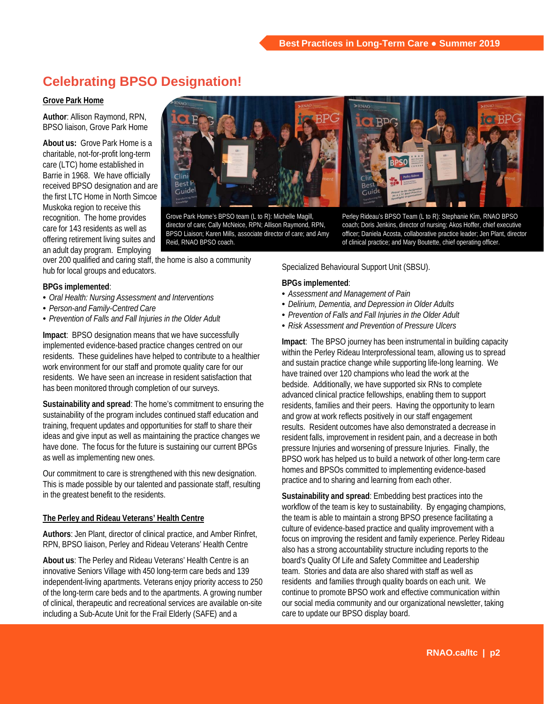# **Celebrating BPSO Designation!**

### **Grove Park Home**

**Author**: Allison Raymond, RPN, BPSO liaison, Grove Park Home

**About us:** Grove Park Home is a charitable, not-for-profit long-term care (LTC) home established in Barrie in 1968. We have officially received BPSO designation and are the first LTC Home in North Simcoe Muskoka region to receive this recognition. The home provides care for 143 residents as well as offering retirement living suites and an adult day program. Employing

Rest Guidel

Grove Park Home's BPSO team (L to R): Michelle Magill, director of care; Cally McNeice, RPN; Allison Raymond, RPN, BPSO Liaison; Karen Mills, associate director of care; and Amy Reid, RNAO BPSO coach.

over 200 qualified and caring staff, the home is also a community hub for local groups and educators.

### **BPGs implemented**:

- *Oral Health: Nursing Assessment and Interventions*
- *Person-and Family-Centred Care*
- *Prevention of Falls and Fall Injuries in the Older Adult*

**Impact**: BPSO designation means that we have successfully implemented evidence-based practice changes centred on our residents. These guidelines have helped to contribute to a healthier work environment for our staff and promote quality care for our residents. We have seen an increase in resident satisfaction that has been monitored through completion of our surveys.

**Sustainability and spread**: The home's commitment to ensuring the sustainability of the program includes continued staff education and training, frequent updates and opportunities for staff to share their ideas and give input as well as maintaining the practice changes we have done. The focus for the future is sustaining our current BPGs as well as implementing new ones.

Our commitment to care is strengthened with this new designation. This is made possible by our talented and passionate staff, resulting in the greatest benefit to the residents.

### **The Perley and Rideau Veterans' Health Centre**

**Authors**: Jen Plant, director of clinical practice, and Amber Rinfret, RPN, BPSO liaison, Perley and Rideau Veterans' Health Centre

**About us**: The Perley and Rideau Veterans' Health Centre is an innovative Seniors Village with 450 long-term care beds and 139 independent-living apartments. Veterans enjoy priority access to 250 of the long-term care beds and to the apartments. A growing number of clinical, therapeutic and recreational services are available on-site including a Sub-Acute Unit for the Frail Elderly (SAFE) and a

Perley Rideau's BPSO Team (L to R): Stephanie Kim, RNAO BPSO coach; Doris Jenkins, director of nursing; Akos Hoffer, chief executive officer; Daniela Acosta, collaborative practice leader; Jen Plant, director of clinical practice; and Mary Boutette, chief operating officer.

Specialized Behavioural Support Unit (SBSU).

#### **BPGs implemented**:

- *Assessment and Management of Pain*
- *Delirium, Dementia, and Depression in Older Adults*
- *Prevention of Falls and Fall Injuries in the Older Adult*
- *Risk Assessment and Prevention of Pressure Ulcers*

**Impact**: The BPSO journey has been instrumental in building capacity within the Perley Rideau Interprofessional team, allowing us to spread and sustain practice change while supporting life-long learning. We have trained over 120 champions who lead the work at the bedside. Additionally, we have supported six RNs to complete advanced clinical practice fellowships, enabling them to support residents, families and their peers. Having the opportunity to learn and grow at work reflects positively in our staff engagement results. Resident outcomes have also demonstrated a decrease in resident falls, improvement in resident pain, and a decrease in both pressure Injuries and worsening of pressure Injuries. Finally, the BPSO work has helped us to build a network of other long-term care homes and BPSOs committed to implementing evidence-based practice and to sharing and learning from each other.

**Sustainability and spread**: Embedding best practices into the workflow of the team is key to sustainability. By engaging champions, the team is able to maintain a strong BPSO presence facilitating a culture of evidence-based practice and quality improvement with a focus on improving the resident and family experience. Perley Rideau also has a strong accountability structure including reports to the board's Quality Of Life and Safety Committee and Leadership team. Stories and data are also shared with staff as well as residents and families through quality boards on each unit. We continue to promote BPSO work and effective communication within our social media community and our organizational newsletter, taking care to update our BPSO display board.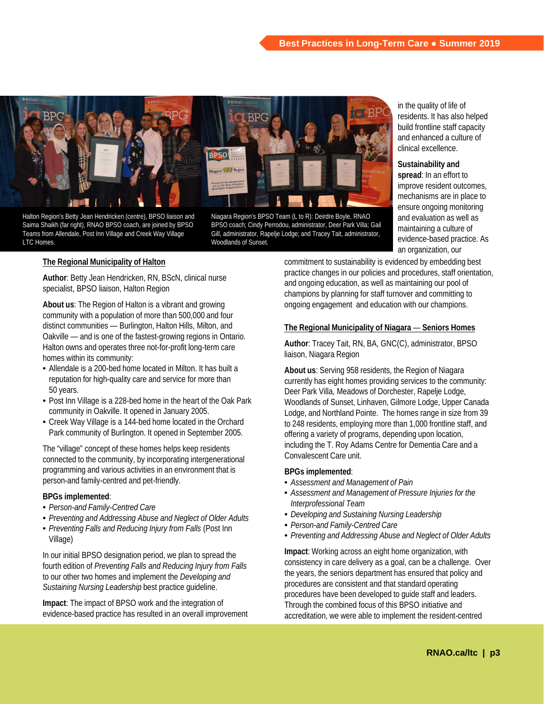

Halton Region's Betty Jean Hendricken (centre), BPSO liaison and Saima Shaikh (far right), RNAO BPSO coach, are joined by BPSO Teams from Allendale, Post Inn Village and Creek Way Village LTC Homes.

Niagara Region's BPSO Team (L to R): Deirdre Boyle, RNAO BPSO coach; Cindy Perrodou, administrator, Deer Park Villa; Gail Gill, administrator, Rapelje Lodge; and Tracey Tait, administrator, Woodlands of Sunset.

in the quality of life of residents. It has also helped build frontline staff capacity and enhanced a culture of clinical excellence.

**Sustainability and** 

**spread**: In an effort to improve resident outcomes, mechanisms are in place to ensure ongoing monitoring and evaluation as well as maintaining a culture of evidence-based practice. As an organization, our

### **The Regional Municipality of Halton**

**Author**: Betty Jean Hendricken, RN, BScN, clinical nurse specialist, BPSO liaison, Halton Region

**About us**: The Region of Halton is a vibrant and growing community with a population of more than 500,000 and four distinct communities — Burlington, Halton Hills, Milton, and Oakville — and is one of the fastest-growing regions in Ontario. Halton owns and operates three not-for-profit long-term care homes within its community:

- Allendale is a 200-bed home located in Milton. It has built a reputation for high-quality care and service for more than 50 years.
- Post Inn Village is a 228-bed home in the heart of the Oak Park community in Oakville. It opened in January 2005.
- Creek Way Village is a 144-bed home located in the Orchard Park community of Burlington. It opened in September 2005.

The "village" concept of these homes helps keep residents connected to the community, by incorporating intergenerational programming and various activities in an environment that is person-and family-centred and pet-friendly.

### **BPGs implemented**:

- *Person-and Family-Centred Care*
- *Preventing and Addressing Abuse and Neglect of Older Adults*
- *Preventing Falls and Reducing Injury from Falls* (Post Inn Village)

In our initial BPSO designation period, we plan to spread the fourth edition of *Preventing Falls and Reducing Injury from Falls*  to our other two homes and implement the *Developing and Sustaining Nursing Leadership* best practice guideline.

**Impact**: The impact of BPSO work and the integration of evidence-based practice has resulted in an overall improvement commitment to sustainability is evidenced by embedding best practice changes in our policies and procedures, staff orientation, and ongoing education, as well as maintaining our pool of champions by planning for staff turnover and committing to ongoing engagement and education with our champions.

### **The Regional Municipality of Niagara** — **Seniors Homes**

**Author**: Tracey Tait, RN, BA, GNC(C), administrator, BPSO liaison, Niagara Region

**About us**: Serving 958 residents, the Region of Niagara currently has eight homes providing services to the community: Deer Park Villa, Meadows of Dorchester, Rapelje Lodge, Woodlands of Sunset, Linhaven, Gilmore Lodge, Upper Canada Lodge, and Northland Pointe. The homes range in size from 39 to 248 residents, employing more than 1,000 frontline staff, and offering a variety of programs, depending upon location, including the T. Roy Adams Centre for Dementia Care and a Convalescent Care unit.

#### **BPGs implemented**:

- *Assessment and Management of Pain*
- *Assessment and Management of Pressure Injuries for the Interprofessional Team*
- *Developing and Sustaining Nursing Leadership*
- *Person-and Family-Centred Care*
- *Preventing and Addressing Abuse and Neglect of Older Adults*

**Impact**: Working across an eight home organization, with consistency in care delivery as a goal, can be a challenge. Over the years, the seniors department has ensured that policy and procedures are consistent and that standard operating procedures have been developed to guide staff and leaders. Through the combined focus of this BPSO initiative and accreditation, we were able to implement the resident-centred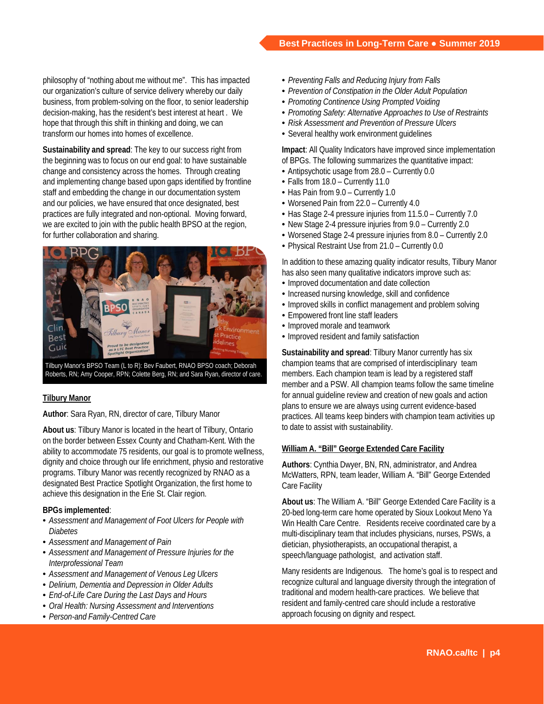philosophy of "nothing about me without me". This has impacted our organization's culture of service delivery whereby our daily business, from problem-solving on the floor, to senior leadership decision-making, has the resident's best interest at heart . We hope that through this shift in thinking and doing, we can transform our homes into homes of excellence.

**Sustainability and spread**: The key to our success right from the beginning was to focus on our end goal: to have sustainable change and consistency across the homes. Through creating and implementing change based upon gaps identified by frontline staff and embedding the change in our documentation system and our policies, we have ensured that once designated, best practices are fully integrated and non-optional. Moving forward, we are excited to join with the public health BPSO at the region, for further collaboration and sharing.



Tilbury Manor's BPSO Team (L to R): Bev Faubert, RNAO BPSO coach; Deborah Roberts, RN; Amy Cooper, RPN; Colette Berg, RN; and Sara Ryan, director of care.

### **Tilbury Manor**

**Author**: Sara Ryan, RN, director of care, Tilbury Manor

**About us**: Tilbury Manor is located in the heart of Tilbury, Ontario on the border between Essex County and Chatham-Kent. With the ability to accommodate 75 residents, our goal is to promote wellness, dignity and choice through our life enrichment, physio and restorative programs. Tilbury Manor was recently recognized by RNAO as a designated Best Practice Spotlight Organization, the first home to achieve this designation in the Erie St. Clair region.

### **BPGs implemented**:

- *Assessment and Management of Foot Ulcers for People with Diabetes*
- *Assessment and Management of Pain*
- *Assessment and Management of Pressure Injuries for the Interprofessional Team*
- *Assessment and Management of Venous Leg Ulcers*
- *Delirium, Dementia and Depression in Older Adults*
- *End-of-Life Care During the Last Days and Hours*
- *Oral Health: Nursing Assessment and Interventions*
- *Person-and Family-Centred Care*
- *Preventing Falls and Reducing Injury from Falls*
- *Prevention of Constipation in the Older Adult Population*
- *Promoting Continence Using Prompted Voiding*
- *Promoting Safety: Alternative Approaches to Use of Restraints*
- *Risk Assessment and Prevention of Pressure Ulcers*
- Several healthy work environment quidelines

**Impact**: All Quality Indicators have improved since implementation of BPGs. The following summarizes the quantitative impact:

- Antipsychotic usage from 28.0 Currently 0.0
- Falls from 18.0 Currently 11.0
- Has Pain from 9.0 Currently 1.0
- Worsened Pain from 22.0 Currently 4.0
- Has Stage 2-4 pressure injuries from 11.5.0 Currently 7.0
- New Stage 2-4 pressure injuries from 9.0 Currently 2.0
- Worsened Stage 2-4 pressure injuries from 8.0 Currently 2.0
- Physical Restraint Use from 21.0 Currently 0.0

In addition to these amazing quality indicator results, Tilbury Manor has also seen many qualitative indicators improve such as:

- Improved documentation and date collection
- Increased nursing knowledge, skill and confidence
- Improved skills in conflict management and problem solving
- Empowered front line staff leaders
- Improved morale and teamwork
- Improved resident and family satisfaction

**Sustainability and spread**: Tilbury Manor currently has six champion teams that are comprised of interdisciplinary team members. Each champion team is lead by a registered staff member and a PSW. All champion teams follow the same timeline for annual guideline review and creation of new goals and action plans to ensure we are always using current evidence-based practices. All teams keep binders with champion team activities up to date to assist with sustainability.

### **William A. "Bill" George Extended Care Facility**

**Authors**: Cynthia Dwyer, BN, RN, administrator, and Andrea McWatters, RPN, team leader, William A. "Bill" George Extended Care Facility

**About us**: The William A. "Bill" George Extended Care Facility is a 20-bed long-term care home operated by Sioux Lookout Meno Ya Win Health Care Centre. Residents receive coordinated care by a multi-disciplinary team that includes physicians, nurses, PSWs, a dietician, physiotherapists, an occupational therapist, a speech/language pathologist, and activation staff.

Many residents are Indigenous. The home's goal is to respect and recognize cultural and language diversity through the integration of traditional and modern health-care practices. We believe that resident and family-centred care should include a restorative approach focusing on dignity and respect.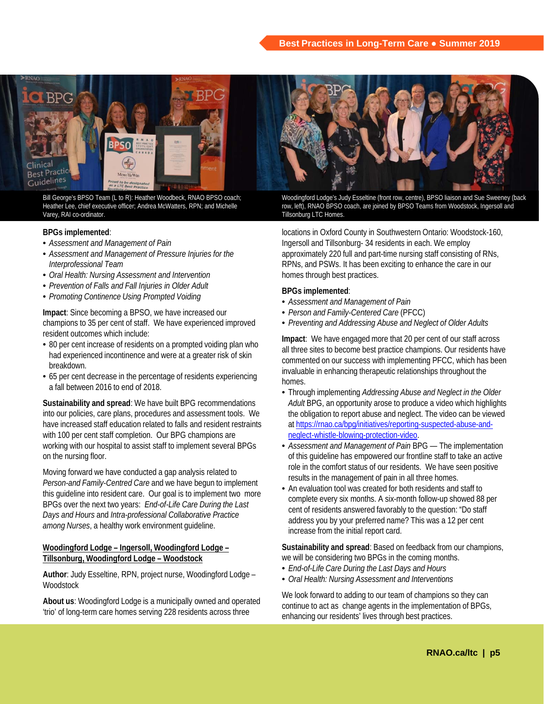

Bill George's BPSO Team (L to R): Heather Woodbeck, RNAO BPSO coach; Heather Lee, chief executive officer; Andrea McWatters, RPN; and Michelle Varey, RAI co-ordinator.

### **BPGs implemented**:

- *Assessment and Management of Pain*
- *Assessment and Management of Pressure Injuries for the Interprofessional Team*
- *Oral Health: Nursing Assessment and Intervention*
- *Prevention of Falls and Fall Injuries in Older Adult*
- *Promoting Continence Using Prompted Voiding*

**Impact**: Since becoming a BPSO, we have increased our champions to 35 per cent of staff. We have experienced improved resident outcomes which include:

- 80 per cent increase of residents on a prompted voiding plan who had experienced incontinence and were at a greater risk of skin breakdown.
- 65 per cent decrease in the percentage of residents experiencing a fall between 2016 to end of 2018.

**Sustainability and spread**: We have built BPG recommendations into our policies, care plans, procedures and assessment tools. We have increased staff education related to falls and resident restraints with 100 per cent staff completion. Our BPG champions are working with our hospital to assist staff to implement several BPGs on the nursing floor.

Moving forward we have conducted a gap analysis related to *Person-and Family-Centred Care* and we have begun to implement this guideline into resident care. Our goal is to implement two more BPGs over the next two years: *End-of-Life Care During the Last Days and Hours* and *Intra-professional Collaborative Practice among Nurses*, a healthy work environment guideline.

### **Woodingford Lodge – Ingersoll, Woodingford Lodge – Tillsonburg, Woodingford Lodge – Woodstock**

**Author**: Judy Esseltine, RPN, project nurse, Woodingford Lodge – **Woodstock** 

**About us**: Woodingford Lodge is a municipally owned and operated 'trio' of long-term care homes serving 228 residents across three



Woodingford Lodge's Judy Esseltine (front row, centre), BPSO liaison and Sue Sweeney (back row, left), RNAO BPSO coach, are joined by BPSO Teams from Woodstock, Ingersoll and Tillsonburg LTC Homes.

locations in Oxford County in Southwestern Ontario: Woodstock-160, Ingersoll and Tillsonburg- 34 residents in each. We employ approximately 220 full and part-time nursing staff consisting of RNs, RPNs, and PSWs. It has been exciting to enhance the care in our homes through best practices.

### **BPGs implemented**:

- *Assessment and Management of Pain*
- *Person and Family-Centered Care* (PFCC)
- *Preventing and Addressing Abuse and Neglect of Older Adults*

**Impact**: We have engaged more that 20 per cent of our staff across all three sites to become best practice champions. Our residents have commented on our success with implementing PFCC, which has been invaluable in enhancing therapeutic relationships throughout the homes.

- Through implementing *Addressing Abuse and Neglect in the Older Adult* BPG, an opportunity arose to produce a video which highlights the obligation to report abuse and neglect. The video can be viewed at [https://rnao.ca/bpg/initiatives/reporting-suspected-abuse-and](https://rnao.ca/bpg/initiatives/reporting-suspected-abuse-and-neglect-whistle-blowing-protection-video)[neglect-whistle-blowing-protection-video.](https://rnao.ca/bpg/initiatives/reporting-suspected-abuse-and-neglect-whistle-blowing-protection-video)
- *Assessment and Management of Pain* BPG The implementation of this guideline has empowered our frontline staff to take an active role in the comfort status of our residents. We have seen positive results in the management of pain in all three homes.
- An evaluation tool was created for both residents and staff to complete every six months. A six-month follow-up showed 88 per cent of residents answered favorably to the question: "Do staff address you by your preferred name? This was a 12 per cent increase from the initial report card.

**Sustainability and spread**: Based on feedback from our champions, we will be considering two BPGs in the coming months.

- *End-of-Life Care During the Last Days and Hours*
- *Oral Health: Nursing Assessment and Interventions*

We look forward to adding to our team of champions so they can continue to act as change agents in the implementation of BPGs, enhancing our residents' lives through best practices.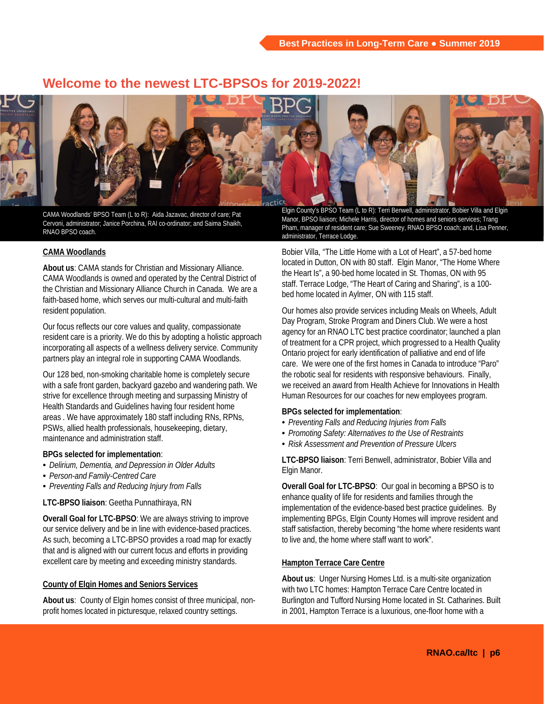### **Welcome to the newest LTC-BPSOs for 2019-2022!**



CAMA Woodlands' BPSO Team (L to R): Aida Jazavac, director of care; Pat Cervoni, administrator; Janice Porchina, RAI co-ordinator; and Saima Shaikh, RNAO BPSO coach.

### **CAMA Woodlands**

**About us**: CAMA stands for Christian and Missionary Alliance. CAMA Woodlands is owned and operated by the Central District of the Christian and Missionary Alliance Church in Canada. We are a faith-based home, which serves our multi-cultural and multi-faith resident population.

Our focus reflects our core values and quality, compassionate resident care is a priority. We do this by adopting a holistic approach incorporating all aspects of a wellness delivery service. Community partners play an integral role in supporting CAMA Woodlands.

Our 128 bed, non-smoking charitable home is completely secure with a safe front garden, backyard gazebo and wandering path. We strive for excellence through meeting and surpassing Ministry of Health Standards and Guidelines having four resident home areas . We have approximately 180 staff including RNs, RPNs, PSWs, allied health professionals, housekeeping, dietary, maintenance and administration staff.

### **BPGs selected for implementation**:

- *Delirium, Dementia, and Depression in Older Adults*
- *Person-and Family-Centred Care*
- *Preventing Falls and Reducing Injury from Falls*

**LTC-BPSO liaison**: Geetha Punnathiraya, RN

**Overall Goal for LTC-BPSO**: We are always striving to improve our service delivery and be in line with evidence-based practices. As such, becoming a LTC-BPSO provides a road map for exactly that and is aligned with our current focus and efforts in providing excellent care by meeting and exceeding ministry standards.

### **County of Elgin Homes and Seniors Services**

**About us**: County of Elgin homes consist of three municipal, nonprofit homes located in picturesque, relaxed country settings.

Elgin County's BPSO Team (L to R): Terri Benwell, administrator, Bobier Villa and Elgin Manor, BPSO liaison; Michele Harris, director of homes and seniors services; Trang Pham, manager of resident care; Sue Sweeney, RNAO BPSO coach; and, Lisa Penner, administrator, Terrace Lodge.

Bobier Villa, "The Little Home with a Lot of Heart", a 57-bed home located in Dutton, ON with 80 staff. Elgin Manor, "The Home Where the Heart Is", a 90-bed home located in St. Thomas, ON with 95 staff. Terrace Lodge, "The Heart of Caring and Sharing", is a 100 bed home located in Aylmer, ON with 115 staff.

Our homes also provide services including Meals on Wheels, Adult Day Program, Stroke Program and Diners Club. We were a host agency for an RNAO LTC best practice coordinator; launched a plan of treatment for a CPR project, which progressed to a Health Quality Ontario project for early identification of palliative and end of life care. We were one of the first homes in Canada to introduce "Paro" the robotic seal for residents with responsive behaviours. Finally, we received an award from Health Achieve for Innovations in Health Human Resources for our coaches for new employees program.

### **BPGs selected for implementation**:

- *Preventing Falls and Reducing Injuries from Falls*
- *Promoting Safety: Alternatives to the Use of Restraints*
- *Risk Assessment and Prevention of Pressure Ulcers*

**LTC-BPSO liaison**: Terri Benwell, administrator, Bobier Villa and Elgin Manor.

**Overall Goal for LTC-BPSO**: Our goal in becoming a BPSO is to enhance quality of life for residents and families through the implementation of the evidence-based best practice guidelines. By implementing BPGs, Elgin County Homes will improve resident and staff satisfaction, thereby becoming "the home where residents want to live and, the home where staff want to work".

### **Hampton Terrace Care Centre**

**About us**: Unger Nursing Homes Ltd. is a multi-site organization with two LTC homes: Hampton Terrace Care Centre located in Burlington and Tufford Nursing Home located in St. Catharines. Built in 2001, Hampton Terrace is a luxurious, one-floor home with a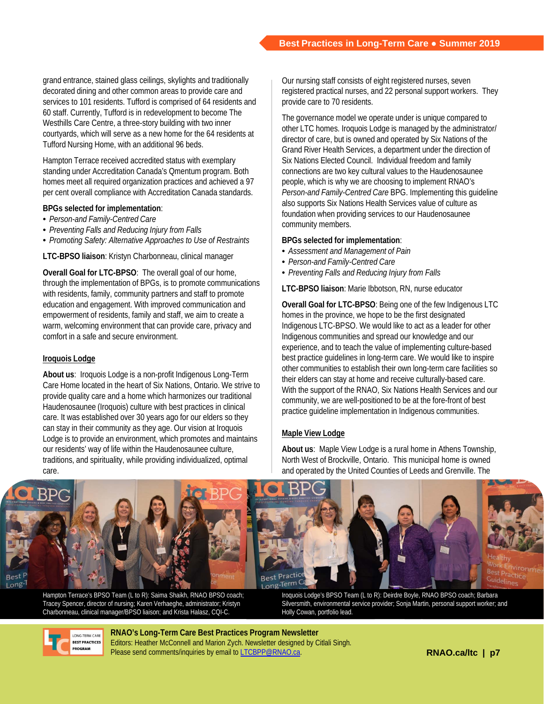grand entrance, stained glass ceilings, skylights and traditionally decorated dining and other common areas to provide care and services to 101 residents. Tufford is comprised of 64 residents and 60 staff. Currently, Tufford is in redevelopment to become The Westhills Care Centre, a three-story building with two inner courtyards, which will serve as a new home for the 64 residents at Tufford Nursing Home, with an additional 96 beds.

Hampton Terrace received accredited status with exemplary standing under Accreditation Canada's Qmentum program. Both homes meet all required organization practices and achieved a 97 per cent overall compliance with Accreditation Canada standards.

### **BPGs selected for implementation**:

- *Person-and Family-Centred Care*
- *Preventing Falls and Reducing Injury from Falls*
- *Promoting Safety: Alternative Approaches to Use of Restraints*

**LTC-BPSO liaison**: Kristyn Charbonneau, clinical manager

**Overall Goal for LTC-BPSO**: The overall goal of our home, through the implementation of BPGs, is to promote communications with residents, family, community partners and staff to promote education and engagement. With improved communication and empowerment of residents, family and staff, we aim to create a warm, welcoming environment that can provide care, privacy and comfort in a safe and secure environment.

### **Iroquois Lodge**

**About us**: Iroquois Lodge is a non-profit Indigenous Long-Term Care Home located in the heart of Six Nations, Ontario. We strive to provide quality care and a home which harmonizes our traditional Haudenosaunee (Iroquois) culture with best practices in clinical care. It was established over 30 years ago for our elders so they can stay in their community as they age. Our vision at Iroquois Lodge is to provide an environment, which promotes and maintains our residents' way of life within the Haudenosaunee culture, traditions, and spirituality, while providing individualized, optimal care.

Our nursing staff consists of eight registered nurses, seven registered practical nurses, and 22 personal support workers. They provide care to 70 residents.

The governance model we operate under is unique compared to other LTC homes. Iroquois Lodge is managed by the administrator/ director of care, but is owned and operated by Six Nations of the Grand River Health Services, a department under the direction of Six Nations Elected Council. Individual freedom and family connections are two key cultural values to the Haudenosaunee people, which is why we are choosing to implement RNAO's *Person-and Family-Centred Care* BPG. Implementing this guideline also supports Six Nations Health Services value of culture as foundation when providing services to our Haudenosaunee community members.

### **BPGs selected for implementation**:

- *Assessment and Management of Pain*
- *Person-and Family-Centred Care*
- *Preventing Falls and Reducing Injury from Falls*

### **LTC-BPSO liaison**: Marie Ibbotson, RN, nurse educator

**Overall Goal for LTC-BPSO**: Being one of the few Indigenous LTC homes in the province, we hope to be the first designated Indigenous LTC-BPSO. We would like to act as a leader for other Indigenous communities and spread our knowledge and our experience, and to teach the value of implementing culture-based best practice guidelines in long-term care. We would like to inspire other communities to establish their own long-term care facilities so their elders can stay at home and receive culturally-based care. With the support of the RNAO, Six Nations Health Services and our community, we are well-positioned to be at the fore-front of best practice guideline implementation in Indigenous communities.

### **Maple View Lodge**

**About us**: Maple View Lodge is a rural home in Athens Township, North West of Brockville, Ontario. This municipal home is owned and operated by the United Counties of Leeds and Grenville. The



Hampton Terrace's BPSO Team (L to R): Saima Shaikh, RNAO BPSO coach; Tracey Spencer, director of nursing; Karen Verhaeghe, administrator; Kristyn Charbonneau, clinical manager/BPSO liaison; and Krista Halasz, CQI-C.

Iroquois Lodge's BPSO Team (L to R): Deirdre Boyle, RNAO BPSO coach; Barbara Silversmith, environmental service provider; Sonja Martin, personal support worker; and Holly Cowan, portfolio lead.



**RNAO's Long-Term Care Best Practices Program Newsletter**  Editors: Heather McConnell and Marion Zych. Newsletter designed by Citlali Singh. Please send comments/inquiries by email to [LTCBPP@RNAO.ca](mailto:LTCBPP@RNAO.ca).